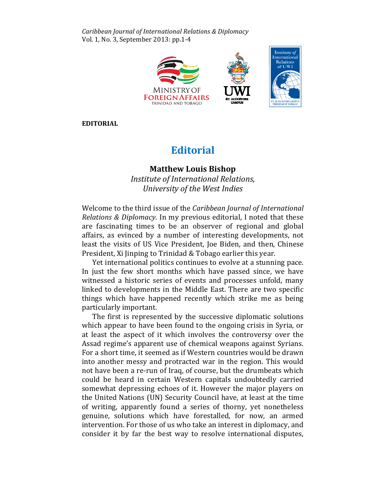Caribbean Journal of International Relations & Diplomacy Vol. 1, No. 3, September 2013: pp.1-4



EDITORIAL

## **Editorial**

## Matthew Louis Bishop Louis BishopInstitute of International Relations, Relations, University of the West Indies University

Welcome to the third issue of the Caribbean Journal of International Relations & Diplomacy. In my previous editorial, I noted that these are fascinating times to be an observer of regional and global affairs, as evinced by a number of interesting developments, not not least the visits of US Vice President, Joe Biden, and then, Chinese President, Xi Jinping to Trinidad & Tobago earlier this year.

Yet international politics continues to evolve at a stunning pace. In just the few short months which have passed since, we have witnessed a historic series of events and processes unfold, many linked to developments in the Middle East. There are two specific things which have happened recently which strike me as being particularly important.

The first is represented by the successive diplomatic solutions which appear to have been found to the ongoing crisis in Syria, or at least the aspect of it which involves the controversy over the Assad regime's apparent use of chemical weapons against Syrians. For a short time, it seemed as if Western countries would be drawn into another messy and protracted war in the region. This would not have been a re-run of Iraq, of course, but the drumbeats which could be heard in certain Western capitals undoubtedly carried somewhat depressing echoes of it. However the major players on the United Nations (UN) Security Council have, at least at the time of writing, apparently found a series of thorny, yet nonetheless genuine, solutions which have forestalled, for now, an armed intervention. For those of us who take an interest in diplomacy, and consider it by far the best way to resolve international disputes,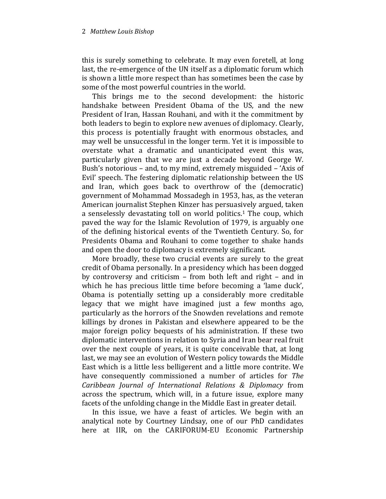## 2 Matthew Louis Bishop

this is surely something to celebrate. It may even foretell, at long last, the re-emergence of the UN itself as a diplomatic forum which is shown a little more respect than has sometimes been the case by some of the most powerful countries in the world.

This brings me to the second development: the historic handshake between President Obama of the US, and the new President of Iran, Hassan Rouhani, and with it the commitment by both leaders to begin to explore new avenues of diplomacy. Clearly, this process is potentially fraught with enormous obstacles, and may well be unsuccessful in the longer term. Yet it is impossible to overstate what a dramatic and unanticipated event this was, particularly given that we are just a decade beyond George W. Bush's notorious – and, to my mind, extremely misguided – 'Axis of Evil' speech. The festering diplomatic relationship between the US and Iran, which goes back to overthrow of the (democratic) government of Mohammad Mossadegh in 1953, has, as the veteran American journalist Stephen Kinzer has persuasively argued, taken a senselessly devastating toll on world politics.<sup>1</sup> The coup, which paved the way for the Islamic Revolution of 1979, is arguably one of the defining historical events of the Twentieth Century. So, for Presidents Obama and Rouhani to come together to shake hands and open the door to diplomacy is extremely significant.

More broadly, these two crucial events are surely to the great credit of Obama personally. In a presidency which has been dogged by controversy and criticism – from both left and right – and in which he has precious little time before becoming a 'lame duck', Obama is potentially setting up a considerably more creditable legacy that we might have imagined just a few months ago, particularly as the horrors of the Snowden revelations and remote killings by drones in Pakistan and elsewhere appeared to be the major foreign policy bequests of his administration. If these two diplomatic interventions in relation to Syria and Iran bear real fruit over the next couple of years, it is quite conceivable that, at long last, we may see an evolution of Western policy towards the Middle East which is a little less belligerent and a little more contrite. We have consequently commissioned a number of articles for The Caribbean Journal of International Relations & Diplomacy from across the spectrum, which will, in a future issue, explore many facets of the unfolding change in the Middle East in greater detail.

In this issue, we have a feast of articles. We begin with an analytical note by Courtney Lindsay, one of our PhD candidates here at IIR, on the CARIFORUM-EU Economic Partnership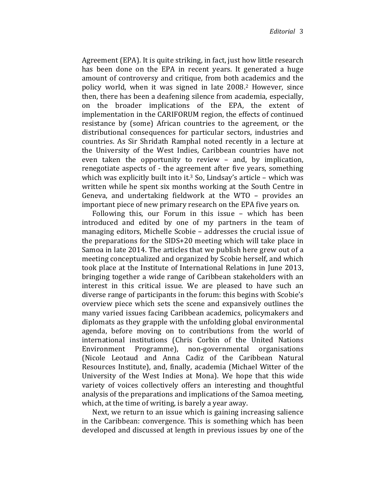Agreement (EPA). It is quite striking, in fact, just how little research has been done on the EPA in recent years. It generated a huge amount of controversy and critique, from both academics and the policy world, when it was signed in late 2008.2 However, since then, there has been a deafening silence from academia, especially, on the broader implications of the EPA, the extent of implementation in the CARIFORUM region, the effects of continued resistance by (some) African countries to the agreement, or the distributional consequences for particular sectors, industries and countries. As Sir Shridath Ramphal noted recently in a lecture at the University of the West Indies, Caribbean countries have not even taken the opportunity to review – and, by implication, renegotiate aspects of - the agreement after five years, something which was explicitly built into it.<sup>3</sup> So, Lindsay's article – which was written while he spent six months working at the South Centre in Geneva, and undertaking fieldwork at the WTO – provides an important piece of new primary research on the EPA five years on.

Following this, our Forum in this issue – which has been introduced and edited by one of my partners in the team of managing editors, Michelle Scobie – addresses the crucial issue of the preparations for the SIDS+20 meeting which will take place in Samoa in late 2014. The articles that we publish here grew out of a meeting conceptualized and organized by Scobie herself, and which took place at the Institute of International Relations in June 2013, bringing together a wide range of Caribbean stakeholders with an interest in this critical issue. We are pleased to have such an diverse range of participants in the forum: this begins with Scobie's overview piece which sets the scene and expansively outlines the many varied issues facing Caribbean academics, policymakers and diplomats as they grapple with the unfolding global environmental agenda, before moving on to contributions from the world of international institutions (Chris Corbin of the United Nations Environment Programme), non-governmental organisations (Nicole Leotaud and Anna Cadiz of the Caribbean Natural Resources Institute), and, finally, academia (Michael Witter of the University of the West Indies at Mona). We hope that this wide variety of voices collectively offers an interesting and thoughtful analysis of the preparations and implications of the Samoa meeting, which, at the time of writing, is barely a year away.

Next, we return to an issue which is gaining increasing salience in the Caribbean: convergence. This is something which has been developed and discussed at length in previous issues by one of the